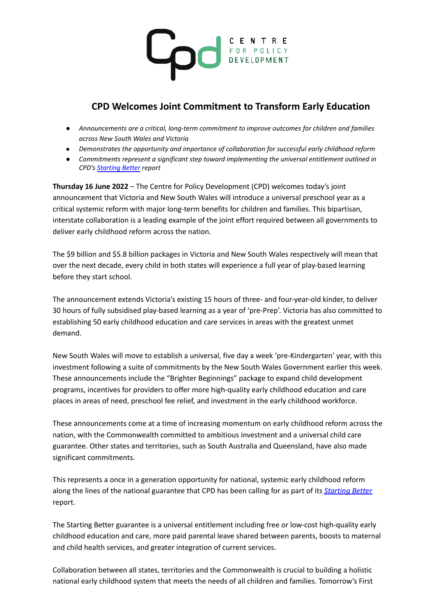

## **CPD Welcomes Joint Commitment to Transform Early Education**

- *● Announcements are a critical, long-term commitment to improve outcomes for children and families across New South Wales and Victoria*
- *● Demonstrates the opportunity and importance of collaboration for successful early childhood reform*
- *● Commitments represent a significant step toward implementing the universal entitlement outlined in CPD's [Starting](https://cpd.org.au/2021/11/starting-better-centre-for-policy-development/) Better report*

**Thursday 16 June 2022** – The Centre for Policy Development (CPD) welcomes today's joint announcement that Victoria and New South Wales will introduce a universal preschool year as a critical systemic reform with major long-term benefits for children and families. This bipartisan, interstate collaboration is a leading example of the joint effort required between all governments to deliver early childhood reform across the nation.

The \$9 billion and \$5.8 billion packages in Victoria and New South Wales respectively will mean that over the next decade, every child in both states will experience a full year of play-based learning before they start school.

The announcement extends Victoria's existing 15 hours of three- and four-year-old kinder, to deliver 30 hours of fully subsidised play-based learning as a year of 'pre-Prep'. Victoria has also committed to establishing 50 early childhood education and care services in areas with the greatest unmet demand.

New South Wales will move to establish a universal, five day a week 'pre-Kindergarten' year, with this investment following a suite of commitments by the New South Wales Government earlier this week. These announcements include the "Brighter Beginnings" package to expand child development programs, incentives for providers to offer more high-quality early childhood education and care places in areas of need, preschool fee relief, and investment in the early childhood workforce.

These announcements come at a time of increasing momentum on early childhood reform across the nation, with the Commonwealth committed to ambitious investment and a universal child care guarantee. Other states and territories, such as South Australia and Queensland, have also made significant commitments.

This represents a once in a generation opportunity for national, systemic early childhood reform along the lines of the national guarantee that CPD has been calling for as part of its *[Starting](https://cpd.org.au/wp-content/uploads/2021/11/CPD-Starting-Better-Report.pdf) Better* report.

The Starting Better guarantee is a universal entitlement including free or low-cost high-quality early childhood education and care, more paid parental leave shared between parents, boosts to maternal and child health services, and greater integration of current services.

Collaboration between all states, territories and the Commonwealth is crucial to building a holistic national early childhood system that meets the needs of all children and families. Tomorrow's First